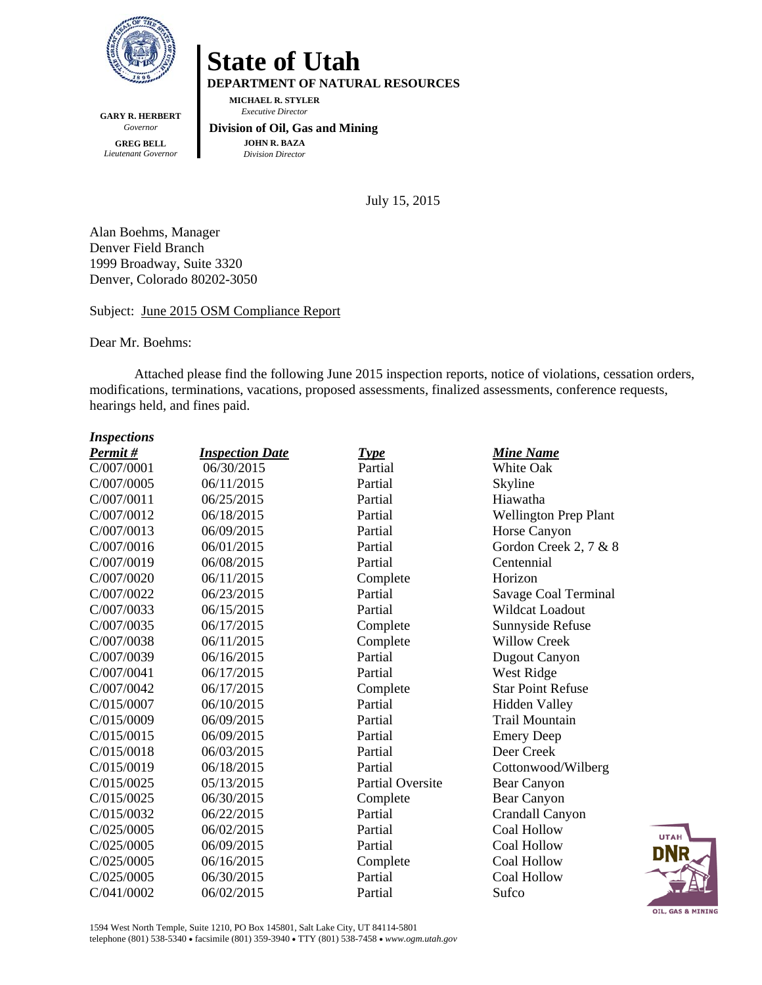

**GARY R. HERBERT**  *Governor*  **GREG BELL**  *Lieutenant Governor* 

## **State of Utah**

**DEPARTMENT OF NATURAL RESOURCES** 

**MICHAEL R. STYLER**   *Executive Director* 

## **Division of Oil, Gas and Mining JOHN R. BAZA**  *Division Director*

July 15, 2015

Alan Boehms, Manager Denver Field Branch 1999 Broadway, Suite 3320 Denver, Colorado 80202-3050

## Subject: June 2015 OSM Compliance Report

Dear Mr. Boehms:

Attached please find the following June 2015 inspection reports, notice of violations, cessation orders, modifications, terminations, vacations, proposed assessments, finalized assessments, conference requests, hearings held, and fines paid.

## *Inspections*

| Permit#    | <b>Inspection Date</b> | <b>Type</b>             | <b>Mine Name</b>             |
|------------|------------------------|-------------------------|------------------------------|
| C/007/0001 | 06/30/2015             | Partial                 | White Oak                    |
| C/007/0005 | 06/11/2015             | Partial                 | Skyline                      |
| C/007/0011 | 06/25/2015             | Partial                 | Hiawatha                     |
| C/007/0012 | 06/18/2015             | Partial                 | <b>Wellington Prep Plant</b> |
| C/007/0013 | 06/09/2015             | Partial                 | Horse Canyon                 |
| C/007/0016 | 06/01/2015             | Partial                 | Gordon Creek 2, 7 & 8        |
| C/007/0019 | 06/08/2015             | Partial                 | Centennial                   |
| C/007/0020 | 06/11/2015             | Complete                | Horizon                      |
| C/007/0022 | 06/23/2015             | Partial                 | Savage Coal Terminal         |
| C/007/0033 | 06/15/2015             | Partial                 | Wildcat Loadout              |
| C/007/0035 | 06/17/2015             | Complete                | Sunnyside Refuse             |
| C/007/0038 | 06/11/2015             | Complete                | <b>Willow Creek</b>          |
| C/007/0039 | 06/16/2015             | Partial                 | Dugout Canyon                |
| C/007/0041 | 06/17/2015             | Partial                 | West Ridge                   |
| C/007/0042 | 06/17/2015             | Complete                | <b>Star Point Refuse</b>     |
| C/015/0007 | 06/10/2015             | Partial                 | <b>Hidden Valley</b>         |
| C/015/0009 | 06/09/2015             | Partial                 | <b>Trail Mountain</b>        |
| C/015/0015 | 06/09/2015             | Partial                 | <b>Emery Deep</b>            |
| C/015/0018 | 06/03/2015             | Partial                 | Deer Creek                   |
| C/015/0019 | 06/18/2015             | Partial                 | Cottonwood/Wilberg           |
| C/015/0025 | 05/13/2015             | <b>Partial Oversite</b> | Bear Canyon                  |
| C/015/0025 | 06/30/2015             | Complete                | Bear Canyon                  |
| C/015/0032 | 06/22/2015             | Partial                 | Crandall Canyon              |
| C/025/0005 | 06/02/2015             | Partial                 | Coal Hollow                  |
| C/025/0005 | 06/09/2015             | Partial                 | Coal Hollow                  |
| C/025/0005 | 06/16/2015             | Complete                | <b>Coal Hollow</b>           |
| C/025/0005 | 06/30/2015             | Partial                 | Coal Hollow                  |
| C/041/0002 | 06/02/2015             | Partial                 | Sufco                        |